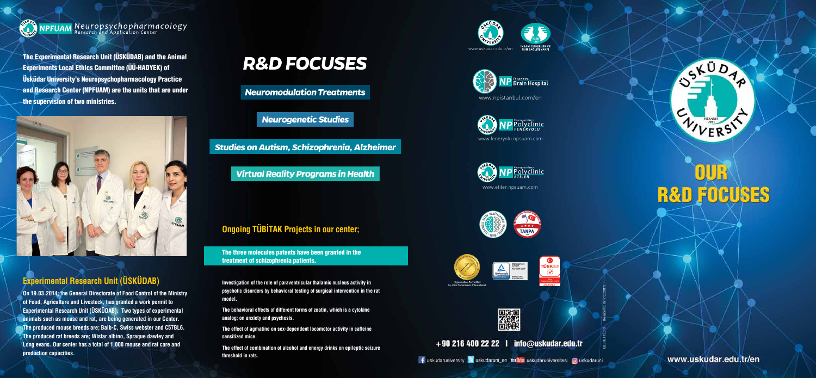

Neuropsychopharmacology Neuropsychopharmacology

UU.BRS.FTS.013 Revision No: 0 (17.05.2017)



# **R&D FOCUSES**

www.uskudar.edu.tr/en

The Experimental Research Unit (ÜSKÜDAB) and the Animal Experiments Local Ethics Committee (ÜÜ-HADYEK) of Üsküdar University's Neuropsychopharmacology Practice and Research Center (NPFUAM) are the units that are under the supervision of two ministries.



## **Experimental Research Unit (ÜSKÜDAB)**

**On 19.03.2014; the General Directorate of Food Control of the Ministry of Food, Agriculture and Livestock, has granted a work permit to Experimental Research Unit (ÜSKÜDAB). Two types of experimental animals such as mouse and rat, are being generated in our Center. The produced mouse breeds are; Balb-C, Swiss webster and C57BL6. The produced rat breeds are; Wistar albino, Spraque dawley and Long evans. Our center has a total of 1,000 mouse and rat care and production capacities.**

# **R&D FOCUSES**

**Neuromodulation Treatments** 

**Neurogenetic Studies** 

**Studies on Autism, Schizophrenia, Alzheimer** 

**Virtual Reality Programs in Health** 







www.feneryolu.npsuam.com



www.etiler.npsuam.com









+90 216 400 22 22 | info@uskudar.edu.tr

Fuskudaruniversity Suskudaruni\_en You Tube uskudaruniversitesi Ouskudaruni

**TÜRKA** 

www.npistanbul.com/en



## **Ongoing TÜBİTAK Projects in our center;**

The three molecules patents have been granted in the treatment of schizophrenia patients.

**Investigation of the role of paraventricular thalamic nucleus activity in psychotic disorders by behavioral testing of surgical intervention in the rat model.**

**The behavioral effects of different forms of zeatin, which is a cytokine analog; on anxiety and psychosis.** 

**The effect of agmatine on sex-dependent locomotor activity in caffeine sensitized mice.**

**The effect of combination of alcohol and energy drinks on epileptic seizure threshold in rats.**